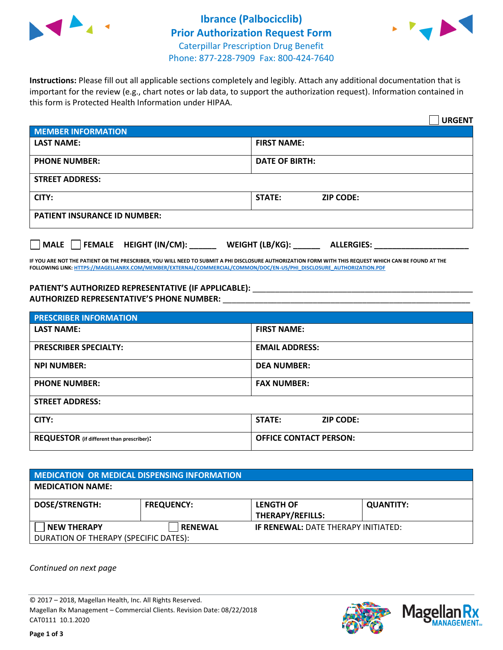



**Instructions:** Please fill out all applicable sections completely and legibly. Attach any additional documentation that is important for the review (e.g., chart notes or lab data, to support the authorization request). Information contained in this form is Protected Health Information under HIPAA.

|                                                | <b>URGENT</b>                        |  |  |  |
|------------------------------------------------|--------------------------------------|--|--|--|
| <b>MEMBER INFORMATION</b>                      |                                      |  |  |  |
| <b>LAST NAME:</b>                              | <b>FIRST NAME:</b>                   |  |  |  |
| <b>PHONE NUMBER:</b>                           | <b>DATE OF BIRTH:</b>                |  |  |  |
| <b>STREET ADDRESS:</b>                         |                                      |  |  |  |
| CITY:                                          | <b>STATE:</b><br><b>ZIP CODE:</b>    |  |  |  |
| <b>PATIENT INSURANCE ID NUMBER:</b>            |                                      |  |  |  |
| $\Box$ FEMALE HEIGHT (IN/CM): _<br><b>MALE</b> | WEIGHT (LB/KG):<br><b>ALLERGIES:</b> |  |  |  |

**IF YOU ARE NOT THE PATIENT OR THE PRESCRIBER, YOU WILL NEED TO SUBMIT A PHI DISCLOSURE AUTHORIZATION FORM WITH THIS REQUEST WHICH CAN BE FOUND AT THE FOLLOWING LINK[: HTTPS://MAGELLANRX.COM/MEMBER/EXTERNAL/COMMERCIAL/COMMON/DOC/EN-US/PHI\\_DISCLOSURE\\_AUTHORIZATION.PDF](https://magellanrx.com/member/external/commercial/common/doc/en-us/PHI_Disclosure_Authorization.pdf)**

PATIENT'S AUTHORIZED REPRESENTATIVE (IF APPLICABLE): \_\_\_\_\_\_\_\_\_\_\_\_\_\_\_\_\_\_\_\_\_\_\_\_\_\_\_ **AUTHORIZED REPRESENTATIVE'S PHONE NUMBER:** \_\_\_\_\_\_\_\_\_\_\_\_\_\_\_\_\_\_\_\_\_\_\_\_\_\_\_\_\_\_\_\_\_\_\_\_\_\_\_\_\_\_\_\_\_\_\_\_\_\_\_\_\_\_\_

| <b>PRESCRIBER INFORMATION</b>             |                               |  |  |  |
|-------------------------------------------|-------------------------------|--|--|--|
| <b>LAST NAME:</b>                         | <b>FIRST NAME:</b>            |  |  |  |
| <b>PRESCRIBER SPECIALTY:</b>              | <b>EMAIL ADDRESS:</b>         |  |  |  |
| <b>NPI NUMBER:</b>                        | <b>DEA NUMBER:</b>            |  |  |  |
| <b>PHONE NUMBER:</b>                      | <b>FAX NUMBER:</b>            |  |  |  |
| <b>STREET ADDRESS:</b>                    |                               |  |  |  |
| CITY:                                     | STATE:<br><b>ZIP CODE:</b>    |  |  |  |
| REQUESTOR (if different than prescriber): | <b>OFFICE CONTACT PERSON:</b> |  |  |  |

| <b>MEDICATION OR MEDICAL DISPENSING INFORMATION</b> |                   |                                            |                  |  |  |
|-----------------------------------------------------|-------------------|--------------------------------------------|------------------|--|--|
| <b>MEDICATION NAME:</b>                             |                   |                                            |                  |  |  |
| <b>DOSE/STRENGTH:</b>                               | <b>FREQUENCY:</b> | <b>LENGTH OF</b>                           | <b>QUANTITY:</b> |  |  |
|                                                     |                   | <b>THERAPY/REFILLS:</b>                    |                  |  |  |
| <b>NEW THERAPY</b>                                  | <b>RENEWAL</b>    | <b>IF RENEWAL: DATE THERAPY INITIATED:</b> |                  |  |  |
| DURATION OF THERAPY (SPECIFIC DATES):               |                   |                                            |                  |  |  |

*Continued on next page*

© 2017 – 2018, Magellan Health, Inc. All Rights Reserved. Magellan Rx Management – Commercial Clients. Revision Date: 08/22/2018 CAT0111 10.1.2020



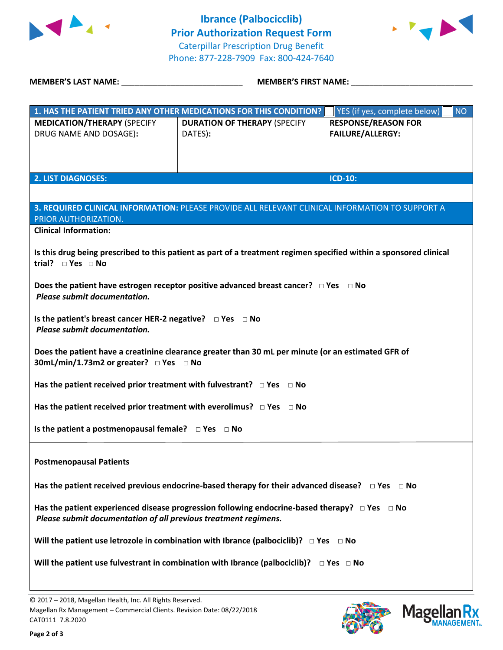



**MEMBER'S LAST NAME:** \_\_\_\_\_\_\_\_\_\_\_\_\_\_\_\_\_\_\_\_\_\_\_\_\_\_\_ **MEMBER'S FIRST NAME:** \_\_\_\_\_\_\_\_\_\_\_\_\_\_\_\_\_\_\_\_\_\_\_\_\_\_\_

|                                                                                                            | 1. HAS THE PATIENT TRIED ANY OTHER MEDICATIONS FOR THIS CONDITION?                                                 | <b>NO</b><br>YES (if yes, complete below) |  |  |
|------------------------------------------------------------------------------------------------------------|--------------------------------------------------------------------------------------------------------------------|-------------------------------------------|--|--|
| <b>MEDICATION/THERAPY (SPECIFY</b>                                                                         | <b>DURATION OF THERAPY (SPECIFY</b>                                                                                | <b>RESPONSE/REASON FOR</b>                |  |  |
| DRUG NAME AND DOSAGE):                                                                                     | DATES):                                                                                                            | <b>FAILURE/ALLERGY:</b>                   |  |  |
|                                                                                                            |                                                                                                                    |                                           |  |  |
|                                                                                                            |                                                                                                                    |                                           |  |  |
| <b>2. LIST DIAGNOSES:</b>                                                                                  |                                                                                                                    | <b>ICD-10:</b>                            |  |  |
|                                                                                                            |                                                                                                                    |                                           |  |  |
|                                                                                                            | 3. REQUIRED CLINICAL INFORMATION: PLEASE PROVIDE ALL RELEVANT CLINICAL INFORMATION TO SUPPORT A                    |                                           |  |  |
| PRIOR AUTHORIZATION.                                                                                       |                                                                                                                    |                                           |  |  |
| <b>Clinical Information:</b>                                                                               |                                                                                                                    |                                           |  |  |
|                                                                                                            |                                                                                                                    |                                           |  |  |
| trial? $\Box$ Yes $\Box$ No                                                                                | Is this drug being prescribed to this patient as part of a treatment regimen specified within a sponsored clinical |                                           |  |  |
|                                                                                                            |                                                                                                                    |                                           |  |  |
|                                                                                                            | Does the patient have estrogen receptor positive advanced breast cancer? $\Box$ Yes $\Box$ No                      |                                           |  |  |
| Please submit documentation.                                                                               |                                                                                                                    |                                           |  |  |
|                                                                                                            |                                                                                                                    |                                           |  |  |
| Is the patient's breast cancer HER-2 negative? $\Box$ Yes $\Box$ No<br>Please submit documentation.        |                                                                                                                    |                                           |  |  |
|                                                                                                            |                                                                                                                    |                                           |  |  |
|                                                                                                            | Does the patient have a creatinine clearance greater than 30 mL per minute (or an estimated GFR of                 |                                           |  |  |
| 30mL/min/1.73m2 or greater? □ Yes □ No                                                                     |                                                                                                                    |                                           |  |  |
|                                                                                                            |                                                                                                                    |                                           |  |  |
| Has the patient received prior treatment with fulvestrant? $\Box$ Yes $\Box$ No                            |                                                                                                                    |                                           |  |  |
| Has the patient received prior treatment with everolimus? $\Box$ Yes $\Box$ No                             |                                                                                                                    |                                           |  |  |
|                                                                                                            |                                                                                                                    |                                           |  |  |
| Is the patient a postmenopausal female? $\Box$ Yes $\Box$ No                                               |                                                                                                                    |                                           |  |  |
|                                                                                                            |                                                                                                                    |                                           |  |  |
| <b>Postmenopausal Patients</b>                                                                             |                                                                                                                    |                                           |  |  |
|                                                                                                            |                                                                                                                    |                                           |  |  |
| Has the patient received previous endocrine-based therapy for their advanced disease? $\Box$ Yes $\Box$ No |                                                                                                                    |                                           |  |  |
|                                                                                                            |                                                                                                                    |                                           |  |  |
| Has the patient experienced disease progression following endocrine-based therapy? $\Box$ Yes $\Box$ No    |                                                                                                                    |                                           |  |  |
| Please submit documentation of all previous treatment regimens.                                            |                                                                                                                    |                                           |  |  |
| Will the patient use letrozole in combination with Ibrance (palbociclib)? $\Box$ Yes $\Box$ No             |                                                                                                                    |                                           |  |  |
|                                                                                                            |                                                                                                                    |                                           |  |  |
| Will the patient use fulvestrant in combination with Ibrance (palbociclib)? $\Box$ Yes $\Box$ No           |                                                                                                                    |                                           |  |  |
|                                                                                                            |                                                                                                                    |                                           |  |  |

**Page 2 of 3**